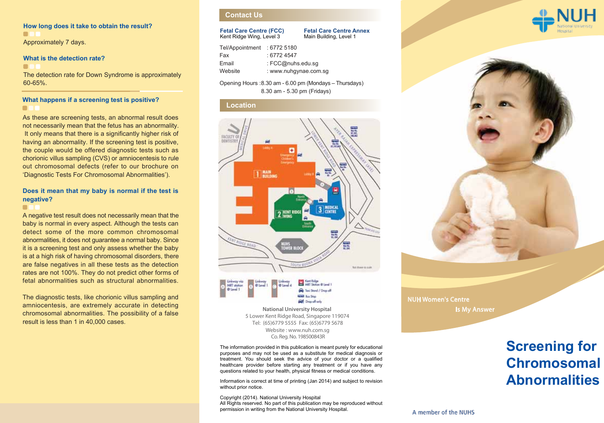#### **How long does it take to obtain the result?**  $\blacksquare$ Approximately 7 days.

#### **What is the detection rate?**

 $\blacksquare$ 

The detection rate for Down Syndrome is approximately 60-65%.

### **What happens if a screening test is positive?**  $\blacksquare$

As these are screening tests, an abnormal result does not necessarily mean that the fetus has an abnormality. It only means that there is a significantly higher risk of having an abnormality. If the screening test is positive, the couple would be offered diagnostic tests such as chorionic villus sampling (CVS) or amniocentesis to rule out chromosomal defects (refer to our brochure on 'Diagnostic Tests For Chromosomal Abnormalities').

### **Does it mean that my baby is normal if the test is negative?**

#### $\blacksquare$

A negative test result does not necessarily mean that the baby is normal in every aspect. Although the tests can detect some of the more common chromosomal abnormalities, it does not guarantee a normal baby. Since it is a screening test and only assess whether the baby is at a high risk of having chromosomal disorders, there are false negatives in all these tests as the detection rates are not 100%. They do not predict other forms of fetal abnormalities such as structural abnormalities.

The diagnostic tests, like chorionic villus sampling and amniocentesis, are extremely accurate in detecting chromosomal abnormalities. The possibility of a false result is less than 1 in 40,000 cases.

# **Contact Us**

#### **Fetal Care Centre (FCC)** Kent Ridge Wing, Level 3

**Fetal Care Centre Annex** Main Building, Level 1

| Tel/Appointment | : 67725180            |
|-----------------|-----------------------|
| Fax             | : 67724547            |
| Email           | : FCC@nuhs.edu.sg     |
| Website         | : www.nuhgynae.com.sg |

Opening Hours : 8.30 am - 6.00 pm (Mondays – Thursdays) 8.30 am - 5.30 pm (Fridays)

#### **Location**





Co. Reg. No. 198500843R **National University Hospital**  5 Lower Kent Ridge Road, Singapore 119074 Website : www.nuh.com.sg Tel: (65)6779 5555 Fax: (65)6779 5678

The information provided in this publication is meant purely for educational purposes and may not be used as a substitute for medical diagnosis or treatment. You should seek the advice of your doctor or a qualified healthcare provider before starting any treatment or if you have any questions related to your health, physical fitness or medical conditions.

Information is correct at time of printing (Jan 2014) and subject to revision without prior notice.

Copyright (2014). National University Hospital All Rights reserved. No part of this publication may be reproduced without permission in writing from the National University Hospital.





NUH Women's Centre Is My Answer

# **Screening for Chromosomal Abnormalities**

A member of the NUHS